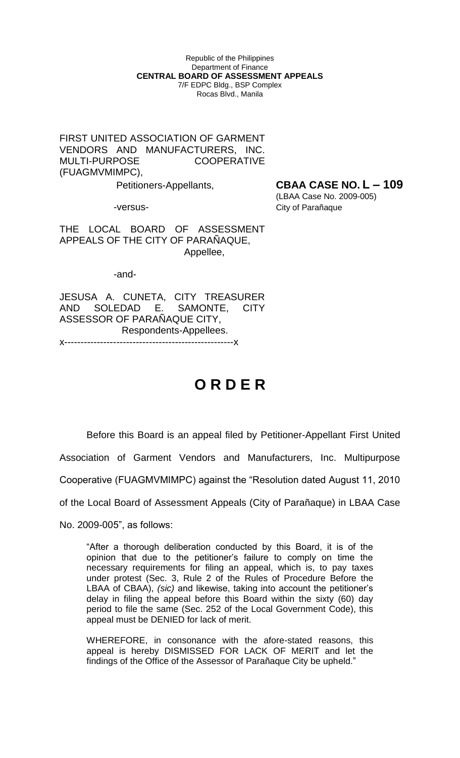Republic of the Philippines Department of Finance **CENTRAL BOARD OF ASSESSMENT APPEALS** 7/F EDPC Bldg., BSP Complex Rocas Blvd., Manila

FIRST UNITED ASSOCIATION OF GARMENT VENDORS AND MANUFACTURERS, INC. MULTI-PURPOSE COOPERATIVE (FUAGMVMIMPC),

Petitioners-Appellants, **CBAA CASE NO. L – 109**

 (LBAA Case No. 2009-005) -versus- City of Parañaque

THE LOCAL BOARD OF ASSESSMENT APPEALS OF THE CITY OF PARAÑAQUE, Appellee,

-and-

JESUSA A. CUNETA, CITY TREASURER AND SOLEDAD E. SAMONTE, CITY ASSESSOR OF PARAÑAQUE CITY, Respondents-Appellees.

x----------------------------------------------------x

## **O R D E R**

Before this Board is an appeal filed by Petitioner-Appellant First United Association of Garment Vendors and Manufacturers, Inc. Multipurpose Cooperative (FUAGMVMIMPC) against the "Resolution dated August 11, 2010 of the Local Board of Assessment Appeals (City of Parañaque) in LBAA Case

No. 2009-005", as follows:

"After a thorough deliberation conducted by this Board, it is of the opinion that due to the petitioner's failure to comply on time the necessary requirements for filing an appeal, which is, to pay taxes under protest (Sec. 3, Rule 2 of the Rules of Procedure Before the LBAA of CBAA), *(sic)* and likewise, taking into account the petitioner's delay in filing the appeal before this Board within the sixty (60) day period to file the same (Sec. 252 of the Local Government Code), this appeal must be DENIED for lack of merit.

WHEREFORE, in consonance with the afore-stated reasons, this appeal is hereby DISMISSED FOR LACK OF MERIT and let the findings of the Office of the Assessor of Parañaque City be upheld."